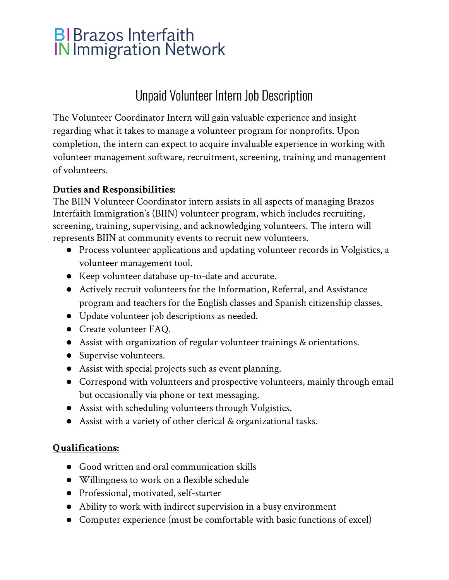# **BI** Brazos Interfaith<br>IN Immigration Network

## Unpaid Volunteer Intern Job Description

The Volunteer Coordinator Intern will gain valuable experience and insight regarding what it takes to manage a volunteer program for nonprofits. Upon completion, the intern can expect to acquire invaluable experience in working with volunteer management software, recruitment, screening, training and management of volunteers.

### **Duties and Responsibilities:**

The BIIN Volunteer Coordinator intern assists in all aspects of managing Brazos Interfaith Immigration's (BIIN) volunteer program, which includes recruiting, screening, training, supervising, and acknowledging volunteers. The intern will represents BIIN at community events to recruit new volunteers.

- Process volunteer applications and updating volunteer records in Volgistics, a volunteer management tool.
- Keep volunteer database up-to-date and accurate.
- Actively recruit volunteers for the Information, Referral, and Assistance program and teachers for the English classes and Spanish citizenship classes.
- Update volunteer job descriptions as needed.
- Create volunteer FAQ.
- Assist with organization of regular volunteer trainings & orientations.
- Supervise volunteers.
- Assist with special projects such as event planning.
- Correspond with volunteers and prospective volunteers, mainly through email but occasionally via phone or text messaging.
- Assist with scheduling volunteers through Volgistics.
- Assist with a variety of other clerical & organizational tasks.

#### **Qualifications:**

- Good written and oral communication skills
- Willingness to work on a flexible schedule
- Professional, motivated, self-starter
- Ability to work with indirect supervision in a busy environment
- Computer experience (must be comfortable with basic functions of excel)